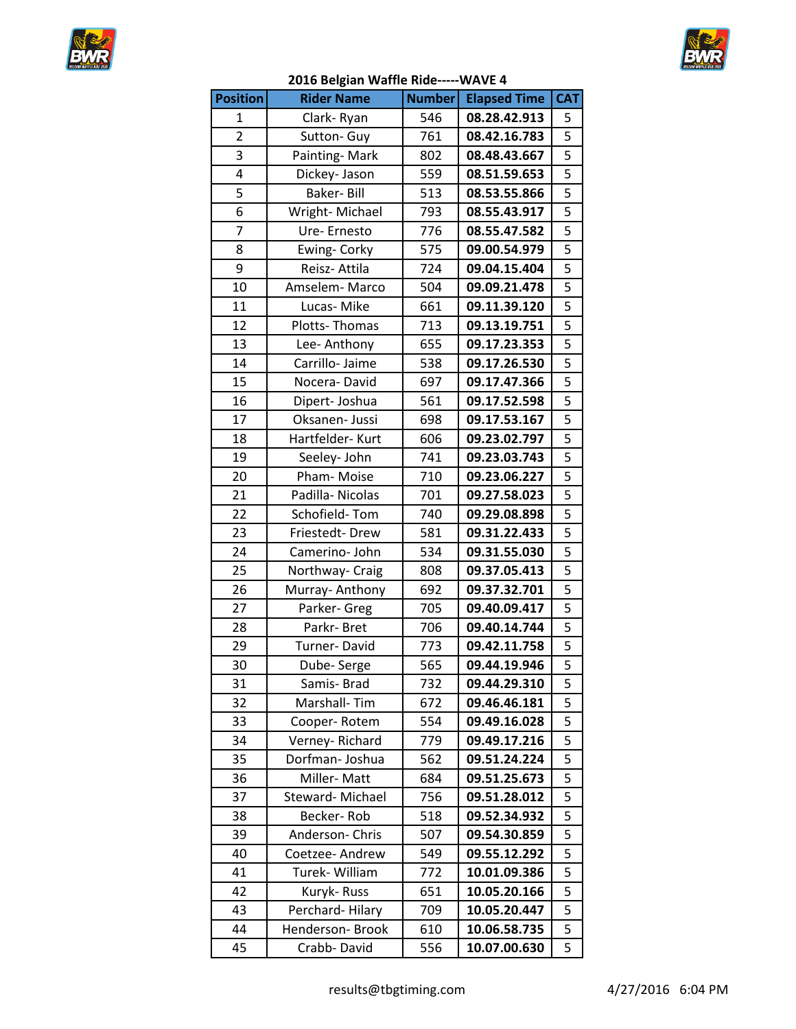



|                 | 2016 Belgian waffle Ride-----WAVE 4 |               |                     |                         |
|-----------------|-------------------------------------|---------------|---------------------|-------------------------|
| <b>Position</b> | <b>Rider Name</b>                   | <b>Number</b> | <b>Elapsed Time</b> | <b>CAT</b>              |
| $\mathbf{1}$    | Clark-Ryan                          | 546           | 08.28.42.913        | 5                       |
| $\overline{2}$  | Sutton- Guy                         | 761           | 08.42.16.783        | $\overline{5}$          |
| 3               | Painting-Mark                       | 802           | 08.48.43.667        | $\overline{5}$          |
| 4               | Dickey- Jason                       | 559           | 08.51.59.653        |                         |
| 5               | Baker-Bill                          | 513           | 08.53.55.866        | $\overline{\mathbf{5}}$ |
| 6               | Wright-Michael                      | 793           | 08.55.43.917        | 5                       |
| $\overline{7}$  | Ure-Ernesto                         | 776           | 08.55.47.582        | $\overline{5}$          |
| 8               | Ewing- Corky                        | 575           | 09.00.54.979        | $\overline{\mathbf{5}}$ |
| 9               | Reisz- Attila                       | 724           | 09.04.15.404        | $\overline{\mathbf{5}}$ |
| 10              | Amselem-Marco                       | 504           | 09.09.21.478        | $\overline{5}$          |
| 11              | Lucas-Mike                          | 661           | 09.11.39.120        | 5                       |
| 12              | Plotts-Thomas                       | 713           | 09.13.19.751        | 5                       |
| 13              | Lee-Anthony                         | 655           | 09.17.23.353        | $\overline{5}$          |
| 14              | Carrillo- Jaime                     | 538           | 09.17.26.530        | $\overline{5}$          |
| 15              | Nocera-David                        | 697           | 09.17.47.366        | $\overline{5}$          |
| 16              | Dipert-Joshua                       | 561           | 09.17.52.598        |                         |
| 17              | Oksanen- Jussi                      | 698           | 09.17.53.167        |                         |
| 18              | Hartfelder-Kurt                     | 606           | 09.23.02.797        | 5                       |
| 19              | Seeley- John                        | 741           | 09.23.03.743        | $\overline{5}$          |
| 20              | Pham-Moise                          | 710           | 09.23.06.227        | $\overline{5}$          |
| 21              | Padilla-Nicolas                     | 701           | 09.27.58.023        |                         |
| 22              | Schofield-Tom                       | 740           | 09.29.08.898        | $\overline{5}$          |
| 23              | Friestedt-Drew                      | 581           | 09.31.22.433        |                         |
| 24              | Camerino-John                       | 534           | 09.31.55.030        | $\overline{\mathbf{5}}$ |
| 25              | Northway- Craig                     | 808           | 09.37.05.413        | 5                       |
| 26              | Murray- Anthony                     | 692           | 09.37.32.701        | $\overline{5}$          |
| 27              | Parker- Greg                        | 705           | 09.40.09.417        | $\overline{5}$          |
| 28              | Parkr-Bret                          | 706           | 09.40.14.744        | $\overline{\mathbf{5}}$ |
| 29              | Turner-David                        | 773           | 09.42.11.758        |                         |
| 30              | Dube-Serge                          | 565           | 09.44.19.946        | $\overline{\mathbf{5}}$ |
| 31              | Samis-Brad                          | 732           | 09.44.29.310        | 5                       |
| 32              | Marshall-Tim                        | 672           | 09.46.46.181        | 5                       |
| 33              | Cooper-Rotem                        | 554           | 09.49.16.028        | 5                       |
| 34              | Verney-Richard                      | 779           | 09.49.17.216        | 5                       |
| 35              | Dorfman-Joshua                      | 562           | 09.51.24.224        | 5                       |
| 36              | Miller-Matt                         | 684           | 09.51.25.673        | 5                       |
|                 |                                     |               |                     | 5                       |
| 37              | Steward-Michael                     | 756           | 09.51.28.012        |                         |
| 38              | Becker-Rob                          | 518           | 09.52.34.932        | 5                       |
| 39              | Anderson- Chris                     | 507           | 09.54.30.859        | 5                       |
| 40              | Coetzee- Andrew                     | 549           | 09.55.12.292        | 5                       |
| 41              | Turek- William                      | 772           | 10.01.09.386        | 5                       |
| 42              | Kuryk-Russ                          | 651           | 10.05.20.166        | 5                       |
| 43              | Perchard-Hilary                     | 709           | 10.05.20.447        | 5                       |
| 44              | Henderson-Brook                     | 610           | 10.06.58.735        | 5                       |
| 45              | Crabb-David                         | 556           | 10.07.00.630        | 5                       |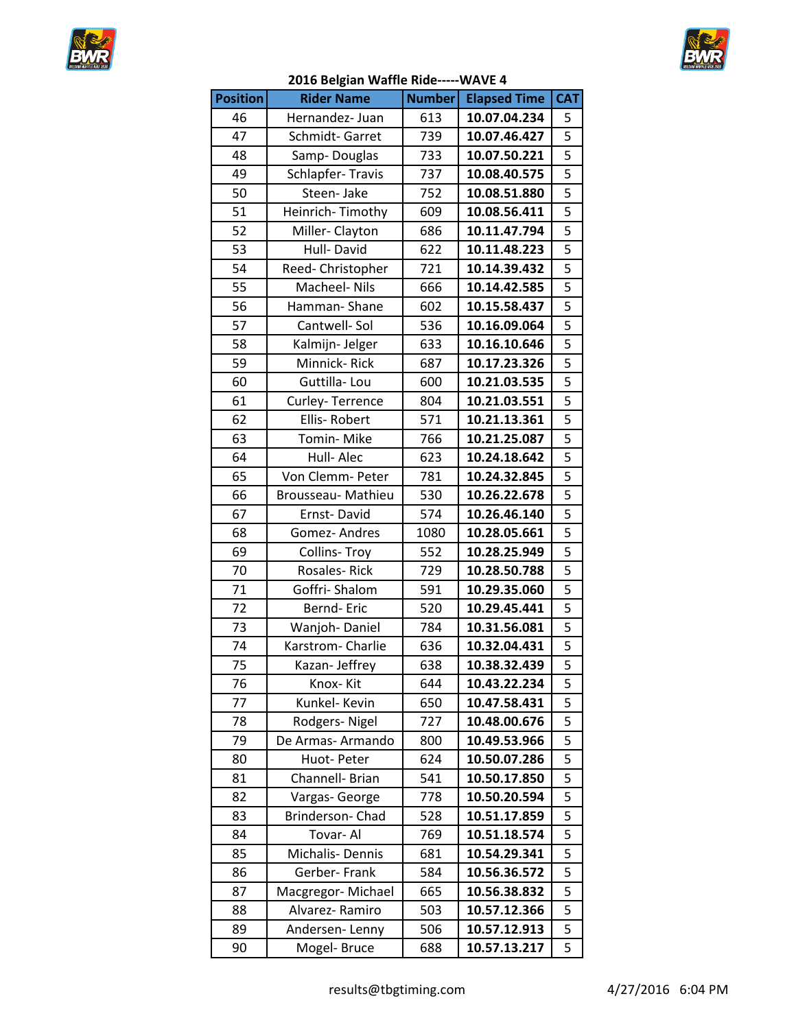



|                 | 2010 Deigian Wanne Mue- |               |                     |                         |
|-----------------|-------------------------|---------------|---------------------|-------------------------|
| <b>Position</b> | <b>Rider Name</b>       | <b>Number</b> | <b>Elapsed Time</b> | <b>CAT</b>              |
| 46              | Hernandez- Juan         | 613           | 10.07.04.234        | 5                       |
| 47              | Schmidt-Garret          | 739           | 10.07.46.427        | 5                       |
| 48              | Samp-Douglas            | 733           | 10.07.50.221        | 5                       |
| 49              | Schlapfer-Travis        | 737           | 10.08.40.575        | $\overline{5}$          |
| 50              | Steen- Jake             | 752           | 10.08.51.880        | $\overline{5}$          |
| 51              | Heinrich-Timothy        | 609           | 10.08.56.411        | $\overline{5}$          |
| 52              | Miller-Clayton          | 686           | 10.11.47.794        | $\overline{5}$          |
| 53              | Hull-David              | 622           | 10.11.48.223        | $\overline{\mathbf{5}}$ |
| 54              | Reed- Christopher       | 721           | 10.14.39.432        | 5                       |
| 55              | Macheel- Nils           | 666           | 10.14.42.585        | $\overline{5}$          |
| 56              | Hamman-Shane            | 602           | 10.15.58.437        | 5                       |
| 57              | Cantwell-Sol            | 536           | 10.16.09.064        | $\overline{\mathbf{5}}$ |
| 58              | Kalmijn- Jelger         | 633           | 10.16.10.646        | $\overline{5}$          |
| 59              | Minnick-Rick            | 687           | 10.17.23.326        | $\overline{5}$          |
| 60              | Guttilla-Lou            | 600           | 10.21.03.535        | 5                       |
| 61              | Curley-Terrence         | 804           | 10.21.03.551        | $\overline{5}$          |
| 62              | Ellis-Robert            | 571           | 10.21.13.361        | $\overline{5}$          |
| 63              | Tomin-Mike              | 766           | 10.21.25.087        | $\overline{5}$          |
| 64              | Hull-Alec               | 623           | 10.24.18.642        | $\overline{5}$          |
| 65              | Von Clemm- Peter        | 781           | 10.24.32.845        | $\overline{5}$          |
| 66              | Brousseau- Mathieu      | 530           | 10.26.22.678        | 5                       |
| 67              | Ernst-David             | 574           | 10.26.46.140        | $\overline{5}$          |
| 68              | Gomez-Andres            | 1080          | 10.28.05.661        | $\overline{5}$          |
| 69              | <b>Collins-Troy</b>     | 552           | 10.28.25.949        | $\overline{5}$          |
| 70              | Rosales-Rick            | 729           | 10.28.50.788        | $\overline{5}$          |
| 71              | Goffri-Shalom           | 591           | 10.29.35.060        |                         |
| 72              | Bernd-Eric              | 520           | 10.29.45.441        | $\overline{5}$          |
| 73              | Wanjoh-Daniel           | 784           | 10.31.56.081        | 5                       |
| 74              | Karstrom-Charlie        | 636           | 10.32.04.431        | $\overline{\mathbf{5}}$ |
| 75              | Kazan-Jeffrey           | 638           | 10.38.32.439        | $\overline{\mathbf{5}}$ |
| 76              | Knox-Kit                | 644           | 10.43.22.234        | 5                       |
| 77              | Kunkel- Kevin           | 650           | 10.47.58.431        | 5                       |
| 78              | Rodgers-Nigel           | 727           | 10.48.00.676        | 5                       |
| 79              | De Armas-Armando        | 800           | 10.49.53.966        | 5                       |
| 80              | Huot-Peter              | 624           | 10.50.07.286        | 5                       |
| 81              | Channell- Brian         | 541           | 10.50.17.850        | 5                       |
| 82              | Vargas- George          | 778           | 10.50.20.594        | 5                       |
| 83              | Brinderson-Chad         | 528           | 10.51.17.859        | 5                       |
| 84              | Tovar-Al                | 769           | 10.51.18.574        | 5                       |
| 85              | Michalis-Dennis         | 681           | 10.54.29.341        | 5                       |
| 86              | Gerber- Frank           | 584           | 10.56.36.572        | 5                       |
| 87              | Macgregor-Michael       | 665           | 10.56.38.832        | 5                       |
| 88              | Alvarez-Ramiro          | 503           | 10.57.12.366        | 5                       |
| 89              | Andersen-Lenny          | 506           | 10.57.12.913        | 5                       |
| 90              | Mogel-Bruce             | 688           | 10.57.13.217        | 5                       |
|                 |                         |               |                     |                         |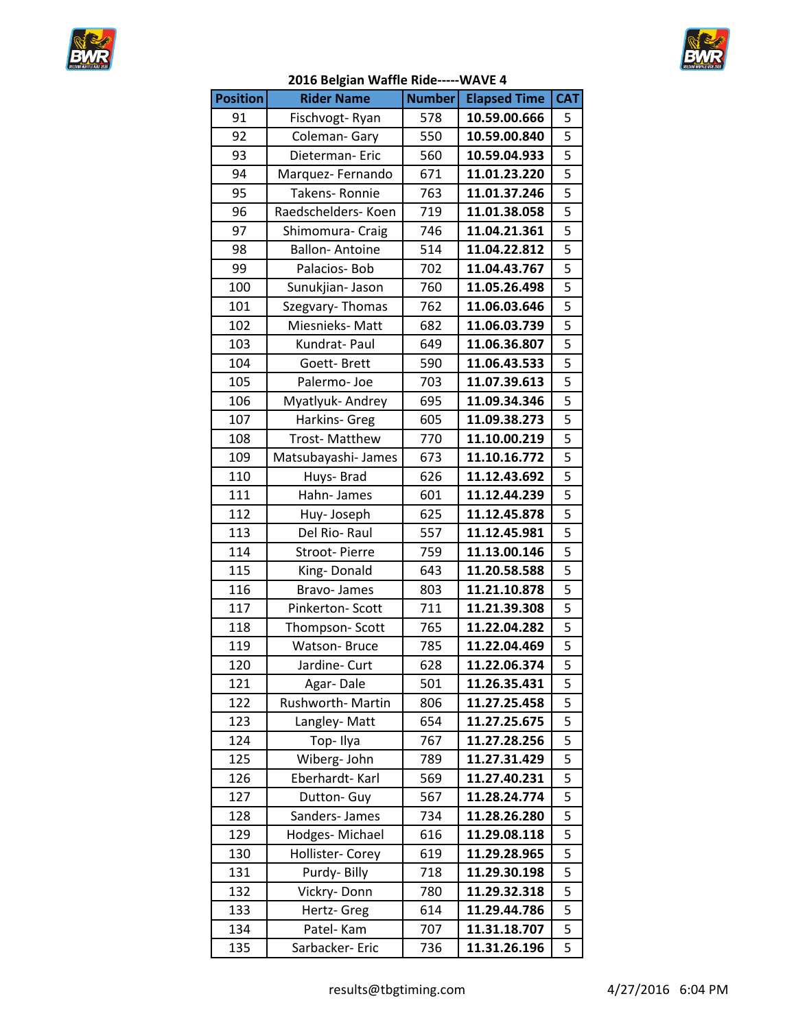



|                 | סבט טכוקומוו וועמוווכ ומטכ |               |                     |                         |
|-----------------|----------------------------|---------------|---------------------|-------------------------|
| <b>Position</b> | <b>Rider Name</b>          | <b>Number</b> | <b>Elapsed Time</b> | <b>CAT</b>              |
| 91              | Fischvogt-Ryan             | 578           | 10.59.00.666        | 5                       |
| 92              | Coleman-Gary               | 550           | 10.59.00.840        | $\overline{5}$          |
| 93              | Dieterman-Eric             | 560           | 10.59.04.933        | 5                       |
| 94              | Marquez-Fernando           | 671           | 11.01.23.220        | 5                       |
| 95              | Takens-Ronnie              | 763           | 11.01.37.246        |                         |
| 96              | Raedschelders- Koen        | 719           | 11.01.38.058        | $\overline{\mathbf{5}}$ |
| 97              | Shimomura- Craig           | 746           | 11.04.21.361        | 5                       |
| 98              | <b>Ballon-Antoine</b>      | 514           | 11.04.22.812        | 5                       |
| 99              | Palacios-Bob               | 702           | 11.04.43.767        | $\overline{5}$          |
| 100             | Sunukjian- Jason           | 760           | 11.05.26.498        | $\overline{5}$          |
| 101             | Szegvary-Thomas            | 762           | 11.06.03.646        | $\overline{\mathbf{5}}$ |
| 102             | Miesnieks-Matt             | 682           | 11.06.03.739        | $\overline{\mathbf{5}}$ |
| 103             | Kundrat-Paul               | 649           | 11.06.36.807        | 5                       |
| 104             | Goett-Brett                | 590           | 11.06.43.533        | 5                       |
| 105             | Palermo-Joe                | 703           | 11.07.39.613        | $\overline{5}$          |
| 106             | Myatlyuk-Andrey            | 695           | 11.09.34.346        | $\overline{5}$          |
| 107             | Harkins- Greg              | 605           | 11.09.38.273        | 5                       |
| 108             | Trost-Matthew              | 770           | 11.10.00.219        | $\overline{5}$          |
| 109             | Matsubayashi-James         | 673           | 11.10.16.772        | 5                       |
| 110             | Huys-Brad                  | 626           | 11.12.43.692        | 5                       |
| 111             | Hahn-James                 | 601           | 11.12.44.239        | $\overline{5}$          |
|                 |                            |               |                     | $\overline{5}$          |
| 112             | Huy-Joseph                 | 625           | 11.12.45.878        | 5                       |
| 113             | Del Rio-Raul               | 557           | 11.12.45.981        |                         |
| 114             | Stroot-Pierre              | 759           | 11.13.00.146        |                         |
| 115             | King-Donald                | 643           | 11.20.58.588        | $\overline{5}$          |
| 116             | Bravo- James               | 803           | 11.21.10.878        | 5                       |
| 117             | Pinkerton-Scott            | 711           | 11.21.39.308        | 5                       |
| 118             | Thompson-Scott             | 765           | 11.22.04.282        | 5                       |
| 119             | <b>Watson-Bruce</b>        | 785           | 11.22.04.469        | $\overline{\mathbf{5}}$ |
| 120             | Jardine- Curt              | 628           | 11.22.06.374        | $\overline{5}$          |
| 121             | Agar-Dale                  | 501           | 11.26.35.431        | 5                       |
| 122             | Rushworth-Martin           | 806           | 11.27.25.458        | 5                       |
| 123             | Langley-Matt               | 654           | 11.27.25.675        | 5                       |
| 124             | Top-Ilya                   | 767           | 11.27.28.256        | 5                       |
| 125             | Wiberg-John                | 789           | 11.27.31.429        | 5                       |
| 126             | Eberhardt-Karl             | 569           | 11.27.40.231        | 5                       |
| 127             | Dutton- Guy                | 567           | 11.28.24.774        | 5                       |
| 128             | Sanders-James              | 734           | 11.28.26.280        | 5                       |
| 129             | Hodges-Michael             | 616           | 11.29.08.118        | 5                       |
| 130             | Hollister- Corey           | 619           | 11.29.28.965        | 5                       |
| 131             | Purdy-Billy                | 718           | 11.29.30.198        | 5                       |
| 132             | Vickry-Donn                | 780           | 11.29.32.318        | 5                       |
| 133             | Hertz- Greg                | 614           | 11.29.44.786        | 5                       |
| 134             | Patel- Kam                 | 707           | 11.31.18.707        | 5                       |
| 135             | Sarbacker-Eric             | 736           | 11.31.26.196        | 5                       |
|                 |                            |               |                     |                         |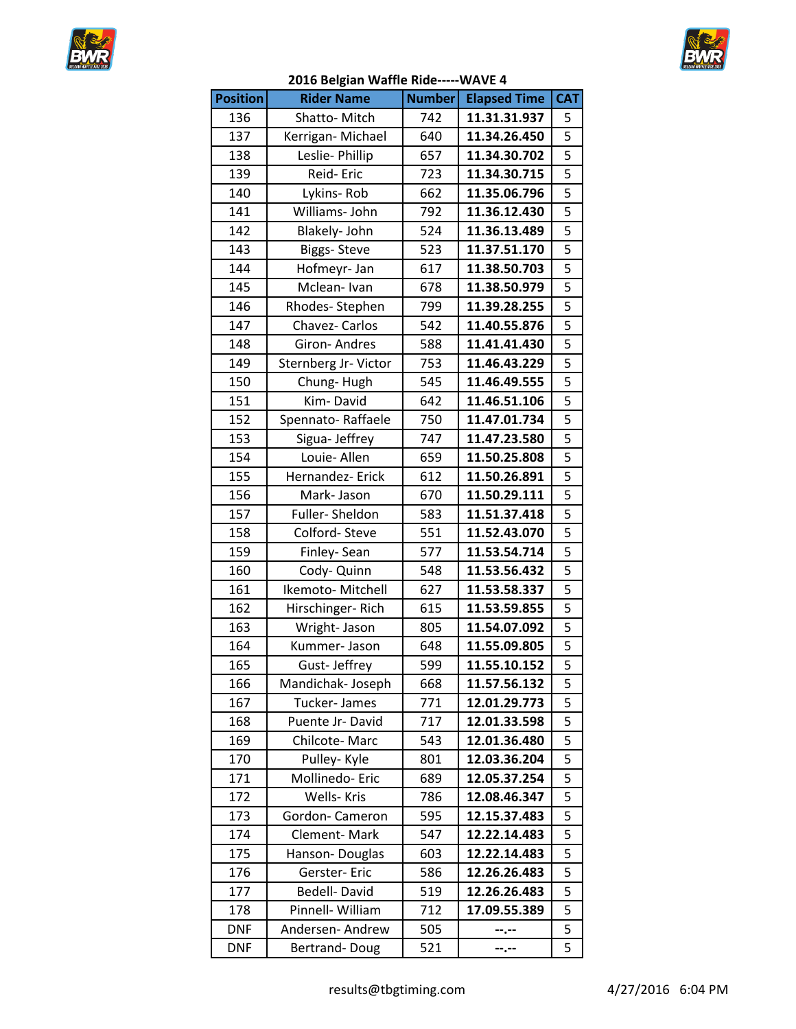



|                 | 2016 Belgian Wallie Kide-----WAVE 4 |               |                     |                         |
|-----------------|-------------------------------------|---------------|---------------------|-------------------------|
| <b>Position</b> | <b>Rider Name</b>                   | <b>Number</b> | <b>Elapsed Time</b> | <b>CAT</b>              |
| 136             | Shatto-Mitch                        | 742           | 11.31.31.937        | 5                       |
| 137             | Kerrigan-Michael                    | 640           | 11.34.26.450        | 5                       |
| 138             | Leslie- Phillip                     | 657           | 11.34.30.702        | $\overline{5}$          |
| 139             | Reid-Eric                           | 723           | 11.34.30.715        | 5                       |
| 140             | Lykins-Rob                          | 662           | 11.35.06.796        | 5                       |
| 141             | Williams- John                      | 792           | 11.36.12.430        | $\overline{5}$          |
| 142             | Blakely- John                       | 524           | 11.36.13.489        | 5                       |
| 143             | <b>Biggs-Steve</b>                  | 523           | 11.37.51.170        | 5                       |
| 144             | Hofmeyr- Jan                        | 617           | 11.38.50.703        |                         |
| 145             | Mclean-Ivan                         | 678           | 11.38.50.979        | $\overline{5}$          |
| 146             | Rhodes-Stephen                      | 799           | 11.39.28.255        | 5                       |
| 147             | Chavez- Carlos                      | 542           | 11.40.55.876        | $\overline{5}$          |
| 148             | <b>Giron-Andres</b>                 | 588           | 11.41.41.430        | $\overline{5}$          |
| 149             | Sternberg Jr- Victor                | 753           | 11.46.43.229        | $\overline{5}$          |
| 150             | Chung-Hugh                          | 545           | 11.46.49.555        | $\overline{5}$          |
| 151             | Kim-David                           | 642           | 11.46.51.106        | $\overline{\mathbf{5}}$ |
| 152             | Spennato-Raffaele                   | 750           | 11.47.01.734        | 5                       |
| 153             | Sigua- Jeffrey                      | 747           | 11.47.23.580        | 5                       |
| 154             | Louie- Allen                        | 659           | 11.50.25.808        | $\overline{5}$          |
| 155             | Hernandez- Erick                    | 612           | 11.50.26.891        | $\overline{5}$          |
| 156             | Mark-Jason                          | 670           | 11.50.29.111        | 5                       |
| 157             | Fuller-Sheldon                      | 583           | 11.51.37.418        | $\overline{5}$          |
| 158             | Colford-Steve                       | 551           | 11.52.43.070        | 5                       |
| 159             | Finley-Sean                         | 577           | 11.53.54.714        | 5                       |
| 160             | Cody- Quinn                         | 548           | 11.53.56.432        | $\overline{5}$          |
| 161             | Ikemoto-Mitchell                    | 627           | 11.53.58.337        | $\overline{\mathbf{5}}$ |
| 162             | Hirschinger-Rich                    | 615           | 11.53.59.855        | 5                       |
| 163             | Wright-Jason                        | 805           | 11.54.07.092        |                         |
| 164             | Kummer-Jason                        | 648           | 11.55.09.805        | $\overline{\mathbf{5}}$ |
| 165             | Gust-Jeffrey                        | 599           | 11.55.10.152        | 5                       |
| 166             | Mandichak- Joseph                   | 668           | 11.57.56.132        | 5                       |
| 167             | Tucker-James                        | 771           | 12.01.29.773        | 5                       |
| 168             | Puente Jr-David                     | 717           | 12.01.33.598        | 5                       |
| 169             | Chilcote-Marc                       | 543           | 12.01.36.480        | 5                       |
| 170             | Pulley- Kyle                        | 801           | 12.03.36.204        | 5                       |
| 171             | Mollinedo-Eric                      | 689           | 12.05.37.254        | 5                       |
| 172             | <b>Wells-Kris</b>                   | 786           | 12.08.46.347        | 5                       |
| 173             | Gordon-Cameron                      | 595           | 12.15.37.483        | 5                       |
| 174             | <b>Clement-Mark</b>                 | 547           | 12.22.14.483        | 5                       |
| 175             | Hanson-Douglas                      | 603           | 12.22.14.483        | 5                       |
| 176             | Gerster-Eric                        | 586           | 12.26.26.483        | 5                       |
| 177             | Bedell-David                        | 519           | 12.26.26.483        | 5                       |
| 178             | Pinnell- William                    | 712           | 17.09.55.389        | 5                       |
| <b>DNF</b>      | Andersen-Andrew                     | 505           | --.--               | 5                       |
| <b>DNF</b>      | Bertrand-Doug                       | 521           | --.--               | 5                       |
|                 |                                     |               |                     |                         |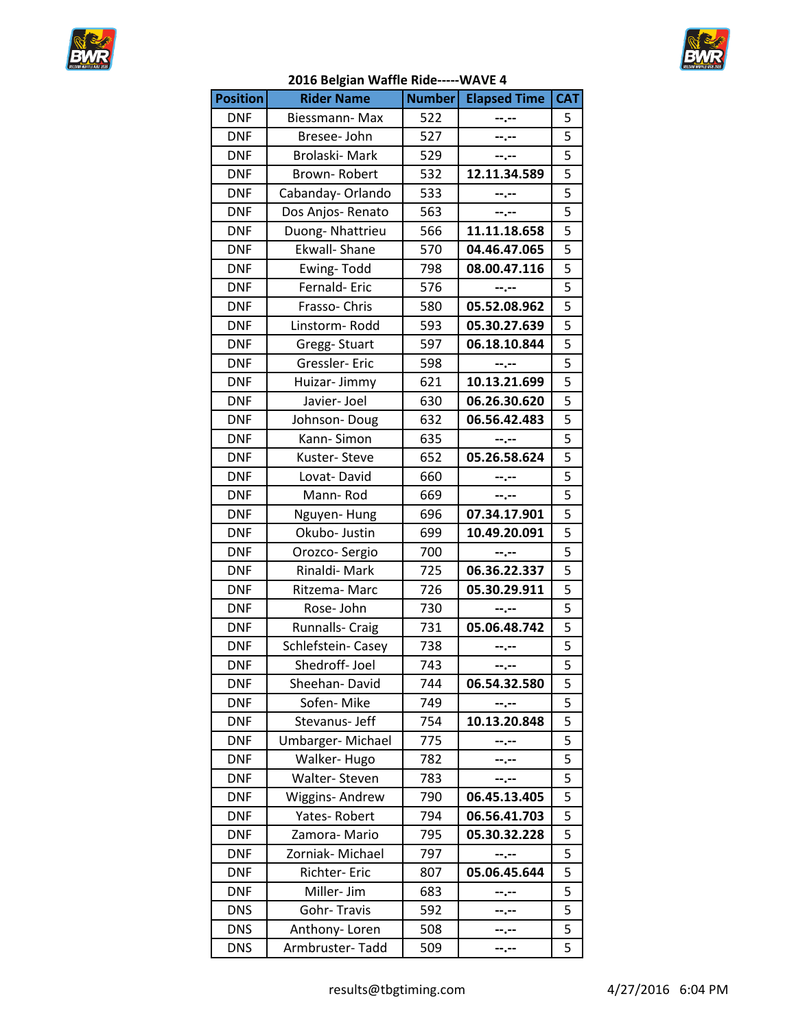



|                 | בסדה הכוצומוו ממטווב ויומכ- |               |                     |                |
|-----------------|-----------------------------|---------------|---------------------|----------------|
| <b>Position</b> | <b>Rider Name</b>           | <b>Number</b> | <b>Elapsed Time</b> | <b>CAT</b>     |
| <b>DNF</b>      | Biessmann-Max               | 522           |                     | 5              |
| <b>DNF</b>      | Bresee- John                | 527           | --.--               | 5              |
| <b>DNF</b>      | Brolaski-Mark               | 529           | $- - - - -$         | 5              |
| <b>DNF</b>      | Brown-Robert                | 532           | 12.11.34.589        | 5              |
| <b>DNF</b>      | Cabanday-Orlando            | 533           | --.--               | 5              |
| <b>DNF</b>      | Dos Anjos-Renato            | 563           | --.--               | 5              |
| <b>DNF</b>      | Duong-Nhattrieu             | 566           | 11.11.18.658        | 5              |
| <b>DNF</b>      | <b>Ekwall-Shane</b>         | 570           | 04.46.47.065        | 5              |
| <b>DNF</b>      | Ewing-Todd                  | 798           | 08.00.47.116        | 5              |
| <b>DNF</b>      | Fernald-Eric                | 576           | --.--               | 5              |
| <b>DNF</b>      | Frasso-Chris                | 580           | 05.52.08.962        | 5              |
| <b>DNF</b>      | Linstorm-Rodd               | 593           | 05.30.27.639        | $\overline{5}$ |
| <b>DNF</b>      |                             | 597           | 06.18.10.844        | 5              |
|                 | Gregg-Stuart                |               |                     |                |
| <b>DNF</b>      | Gressler-Eric               | 598           | --.--               | 5              |
| <b>DNF</b>      | Huizar- Jimmy               | 621           | 10.13.21.699        | 5              |
| <b>DNF</b>      | Javier- Joel                | 630           | 06.26.30.620        | 5              |
| <b>DNF</b>      | Johnson-Doug                | 632           | 06.56.42.483        | 5              |
| <b>DNF</b>      | Kann-Simon                  | 635           | --.--               | 5              |
| <b>DNF</b>      | Kuster-Steve                | 652           | 05.26.58.624        | 5              |
| <b>DNF</b>      | Lovat-David                 | 660           | --.--               | 5              |
| <b>DNF</b>      | Mann-Rod                    | 669           | --.--               | 5              |
| <b>DNF</b>      | Nguyen-Hung                 | 696           | 07.34.17.901        | 5              |
| <b>DNF</b>      | Okubo- Justin               | 699           | 10.49.20.091        | 5              |
| <b>DNF</b>      | Orozco-Sergio               | 700           | --.--               | 5              |
| <b>DNF</b>      | Rinaldi-Mark                | 725           | 06.36.22.337        | 5              |
| <b>DNF</b>      | Ritzema-Marc                | 726           | 05.30.29.911        | 5              |
| <b>DNF</b>      | Rose-John                   | 730           | --.--               | 5              |
| <b>DNF</b>      | <b>Runnalls- Craig</b>      | 731           | 05.06.48.742        | 5              |
| <b>DNF</b>      | Schlefstein- Casey          | 738           | $- - - - -$         | 5              |
| <b>DNF</b>      | Shedroff-Joel               | 743           | --.--               | 5              |
| <b>DNF</b>      | Sheehan-David               | 744           | 06.54.32.580        | 5              |
| <b>DNF</b>      | Sofen-Mike                  | 749           | --.--               | 5              |
| <b>DNF</b>      | Stevanus- Jeff              | 754           | 10.13.20.848        | 5              |
| <b>DNF</b>      | Umbarger-Michael            | 775           | --.--               | 5              |
| <b>DNF</b>      | Walker-Hugo                 | 782           | --.--               | 5              |
| <b>DNF</b>      | Walter-Steven               | 783           | --.--               | 5              |
| <b>DNF</b>      | Wiggins- Andrew             | 790           | 06.45.13.405        | 5              |
| <b>DNF</b>      | Yates-Robert                | 794           | 06.56.41.703        | 5              |
| <b>DNF</b>      | Zamora-Mario                | 795           | 05.30.32.228        | 5              |
| <b>DNF</b>      | Zorniak- Michael            | 797           |                     | 5              |
| <b>DNF</b>      |                             |               | --.--               | 5              |
|                 | Richter-Eric                | 807           | 05.06.45.644        |                |
| <b>DNF</b>      | Miller- Jim                 | 683           | --.--               | 5              |
| <b>DNS</b>      | Gohr-Travis                 | 592           | --.--               | 5              |
| <b>DNS</b>      | Anthony-Loren               | 508           | --.--               | 5              |
| <b>DNS</b>      | Armbruster-Tadd             | 509           | --.--               | 5              |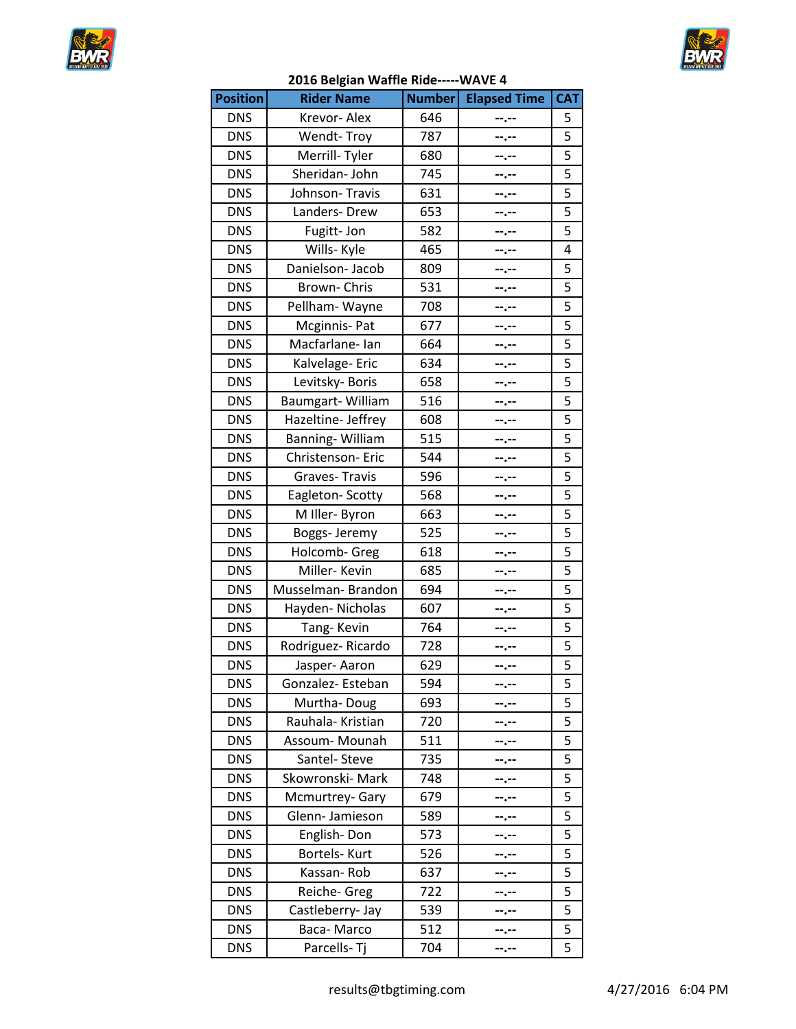



|                 | בטבט טכוגומוו וואמוווכ ווועכ |               |                     |            |
|-----------------|------------------------------|---------------|---------------------|------------|
| <b>Position</b> | <b>Rider Name</b>            | <b>Number</b> | <b>Elapsed Time</b> | <b>CAT</b> |
| <b>DNS</b>      | Krevor-Alex                  | 646           |                     | 5          |
| <b>DNS</b>      | Wendt-Troy                   | 787           | --.--               | 5          |
| <b>DNS</b>      | Merrill-Tyler                | 680           | --.--               | 5          |
| <b>DNS</b>      | Sheridan- John               | 745           | --.--               | 5          |
| <b>DNS</b>      | Johnson-Travis               | 631           | --.--               | 5          |
| <b>DNS</b>      | Landers-Drew                 | 653           | --.--               | 5          |
| <b>DNS</b>      | Fugitt-Jon                   | 582           | --.--               | 5          |
| <b>DNS</b>      | Wills- Kyle                  | 465           | --.--               | 4          |
| <b>DNS</b>      | Danielson-Jacob              | 809           | --.--               | 5          |
| <b>DNS</b>      | Brown-Chris                  | 531           | --.--               | 5          |
| <b>DNS</b>      | Pellham-Wayne                | 708           | --.--               | 5          |
| <b>DNS</b>      | Mcginnis-Pat                 | 677           | --.--               | 5          |
| <b>DNS</b>      | Macfarlane- Ian              | 664           | --.--               | 5          |
| <b>DNS</b>      | Kalvelage-Eric               | 634           | --.--               | 5          |
| <b>DNS</b>      | Levitsky-Boris               | 658           | --.--               | 5          |
| <b>DNS</b>      | Baumgart-William             | 516           | --.--               | 5          |
| <b>DNS</b>      | Hazeltine- Jeffrey           | 608           | --.--               | 5          |
| <b>DNS</b>      | Banning-William              | 515           | --.--               | 5          |
| <b>DNS</b>      | Christenson- Eric            | 544           | --.--               | 5          |
| <b>DNS</b>      | Graves-Travis                | 596           | --.--               | 5          |
| <b>DNS</b>      | Eagleton-Scotty              | 568           |                     | 5          |
| <b>DNS</b>      | M Iller- Byron               | 663           | --.--               | 5          |
| <b>DNS</b>      | Boggs- Jeremy                | 525           | --.--               | 5          |
| <b>DNS</b>      | Holcomb- Greg                | 618           | --.--               | 5          |
| <b>DNS</b>      | Miller-Kevin                 | 685           | --.--               | 5          |
| <b>DNS</b>      | Musselman-Brandon            | 694           |                     | 5          |
| <b>DNS</b>      | Hayden-Nicholas              | 607           | --.--               | 5          |
| <b>DNS</b>      | Tang-Kevin                   | 764           | --.--               | 5          |
| <b>DNS</b>      | Rodriguez-Ricardo            | 728           | --.--               | 5          |
| <b>DNS</b>      | Jasper-Aaron                 | 629           |                     | 5          |
| <b>DNS</b>      | Gonzalez-Esteban             | 594           | --.--               | 5          |
| <b>DNS</b>      | Murtha-Doug                  | 693           |                     | 5          |
| <b>DNS</b>      | Rauhala- Kristian            | 720           |                     | 5          |
| <b>DNS</b>      | Assoum-Mounah                | 511           |                     | 5          |
| <b>DNS</b>      | Santel- Steve                | 735           | --.--               | 5          |
| <b>DNS</b>      | Skowronski- Mark             | 748           | --.--               | 5          |
| <b>DNS</b>      | Mcmurtrey-Gary               | 679           |                     | 5          |
| <b>DNS</b>      | Glenn-Jamieson               | 589           |                     | 5          |
| <b>DNS</b>      | English-Don                  | 573           |                     | 5          |
| <b>DNS</b>      | Bortels- Kurt                | 526           | --.--               | 5          |
| <b>DNS</b>      | Kassan-Rob                   | 637           | --.--               | 5          |
| <b>DNS</b>      | Reiche- Greg                 | 722           | --.--               | 5          |
| <b>DNS</b>      | Castleberry- Jay             | 539           |                     | 5          |
| <b>DNS</b>      | Baca-Marco                   | 512           | ……                  | 5          |
| <b>DNS</b>      | Parcells-Tj                  | 704           | --.--               | 5          |